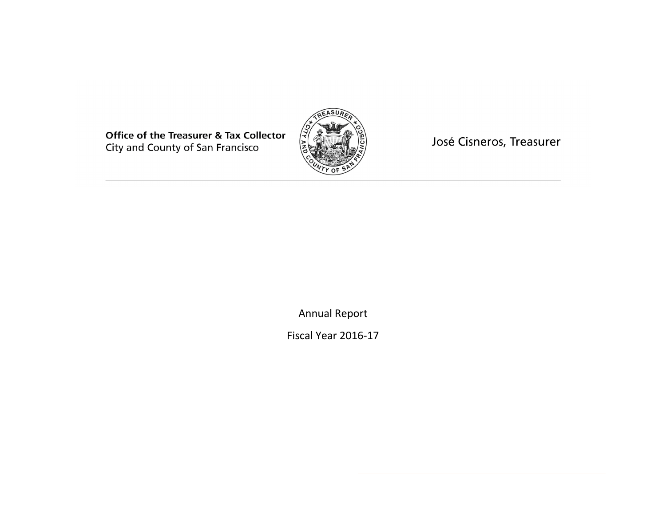**Office of the Treasurer & Tax Collector** City and County of San Francisco



José Cisneros, Treasurer

Annual Report

Fiscal Year 2016-17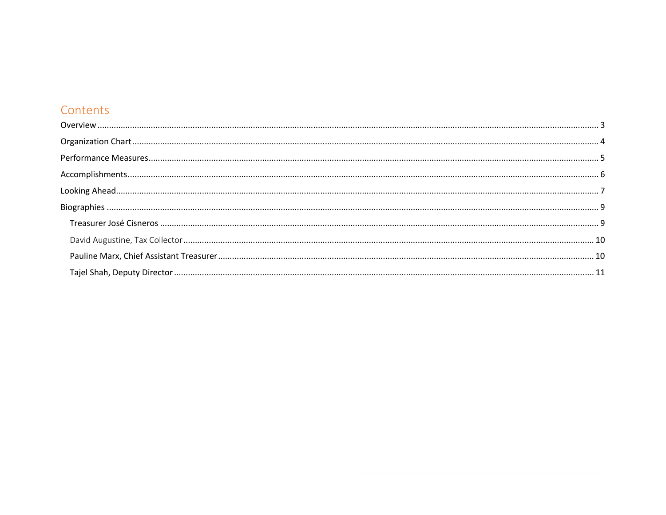# Contents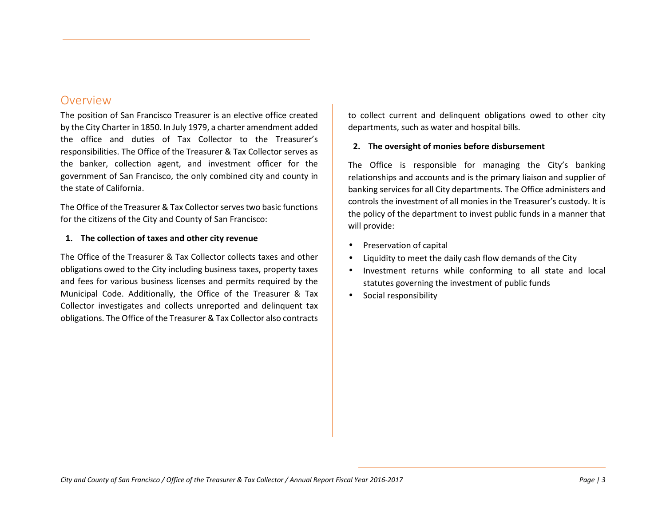## Overview

The position of San Francisco Treasurer is an elective office created by the City Charter in 1850. In July 1979, a charter amendment added the office and duties of Tax Collector to the Treasurer's responsibilities. The Office of the Treasurer & Tax Collector serves as the banker, collection agent, and investment officer for the government of San Francisco, the only combined city and county in the state of California.

The Office of the Treasurer & Tax Collector serves two basic functions for the citizens of the City and County of San Francisco:

#### **1. The collection of taxes and other city revenue**

The Office of the Treasurer & Tax Collector collects taxes and other obligations owed to the City including business taxes, property taxes and fees for various business licenses and permits required by the Municipal Code. Additionally, the Office of the Treasurer & Tax Collector investigates and collects unreported and delinquent tax obligations. The Office of the Treasurer & Tax Collector also contracts to collect current and delinquent obligations owed to other city departments, such as water and hospital bills.

### **2. The oversight of monies before disbursement**

The Office is responsible for managing the City's banking relationships and accounts and is the primary liaison and supplier of banking services for all City departments. The Office administers and controls the investment of all monies in the Treasurer's custody. It is the policy of the department to invest public funds in a manner that will provide:

- $\bullet$ Preservation of capital
- •Liquidity to meet the daily cash flow demands of the City
- • Investment returns while conforming to all state and local statutes governing the investment of public funds
- •Social responsibility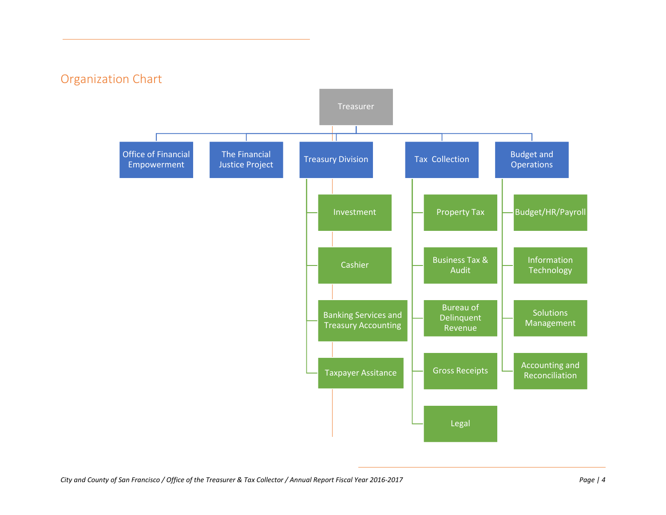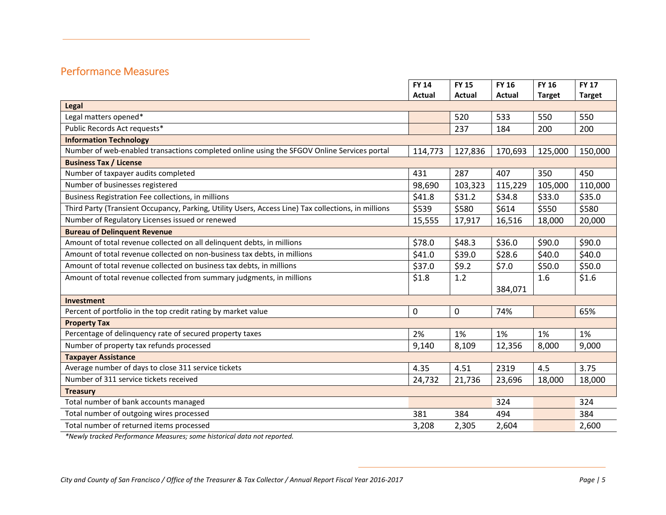# Performance Measures

|                                                                                                     | <b>FY 14</b>  | <b>FY 15</b>  | <b>FY 16</b> | <b>FY 16</b>  | <b>FY 17</b>  |  |  |
|-----------------------------------------------------------------------------------------------------|---------------|---------------|--------------|---------------|---------------|--|--|
|                                                                                                     | <b>Actual</b> | <b>Actual</b> | Actual       | <b>Target</b> | <b>Target</b> |  |  |
| Legal                                                                                               |               |               |              |               |               |  |  |
| Legal matters opened*                                                                               |               | 520           | 533          | 550           | 550           |  |  |
| Public Records Act requests*                                                                        |               | 237           | 184          | 200           | 200           |  |  |
| <b>Information Technology</b>                                                                       |               |               |              |               |               |  |  |
| Number of web-enabled transactions completed online using the SFGOV Online Services portal          | 114,773       | 127,836       | 170,693      | 125,000       | 150,000       |  |  |
| <b>Business Tax / License</b>                                                                       |               |               |              |               |               |  |  |
| Number of taxpayer audits completed                                                                 | 431           | 287           | 407          | 350           | 450           |  |  |
| Number of businesses registered                                                                     | 98,690        | 103,323       | 115,229      | 105,000       | 110,000       |  |  |
| Business Registration Fee collections, in millions                                                  | \$41.8        | \$31.2        | \$34.8       | \$33.0        | \$35.0        |  |  |
| Third Party (Transient Occupancy, Parking, Utility Users, Access Line) Tax collections, in millions | \$539         | \$580         | \$614        | \$550         | \$580         |  |  |
| Number of Regulatory Licenses issued or renewed                                                     | 15,555        | 17,917        | 16,516       | 18,000        | 20,000        |  |  |
| <b>Bureau of Delinquent Revenue</b>                                                                 |               |               |              |               |               |  |  |
| Amount of total revenue collected on all delinquent debts, in millions                              | \$78.0        | \$48.3        | \$36.0       | \$90.0        | \$90.0        |  |  |
| Amount of total revenue collected on non-business tax debts, in millions                            | \$41.0        | \$39.0        | \$28.6       | \$40.0        | \$40.0        |  |  |
| Amount of total revenue collected on business tax debts, in millions                                | \$37.0        | \$9.2         | \$7.0        | \$50.0        | \$50.0        |  |  |
| Amount of total revenue collected from summary judgments, in millions                               | \$1.8         | 1.2           |              | 1.6           | \$1.6         |  |  |
|                                                                                                     |               |               | 384,071      |               |               |  |  |
| Investment                                                                                          |               |               |              |               |               |  |  |
| Percent of portfolio in the top credit rating by market value                                       | $\pmb{0}$     | 0             | 74%          |               | 65%           |  |  |
| <b>Property Tax</b>                                                                                 |               |               |              |               |               |  |  |
| Percentage of delinquency rate of secured property taxes                                            | 2%            | 1%            | 1%           | 1%            | 1%            |  |  |
| Number of property tax refunds processed                                                            | 9,140         | 8,109         | 12,356       | 8,000         | 9,000         |  |  |
| <b>Taxpayer Assistance</b>                                                                          |               |               |              |               |               |  |  |
| Average number of days to close 311 service tickets                                                 | 4.35          | 4.51          | 2319         | 4.5           | 3.75          |  |  |
| Number of 311 service tickets received                                                              | 24,732        | 21,736        | 23,696       | 18,000        | 18,000        |  |  |
| <b>Treasury</b>                                                                                     |               |               |              |               |               |  |  |
| Total number of bank accounts managed                                                               |               |               | 324          |               | 324           |  |  |
| Total number of outgoing wires processed                                                            | 381           | 384           | 494          |               | 384           |  |  |
| Total number of returned items processed                                                            | 3,208         | 2,305         | 2,604        |               | 2,600         |  |  |

*\*Newly tracked Performance Measures; some historical data not reported.*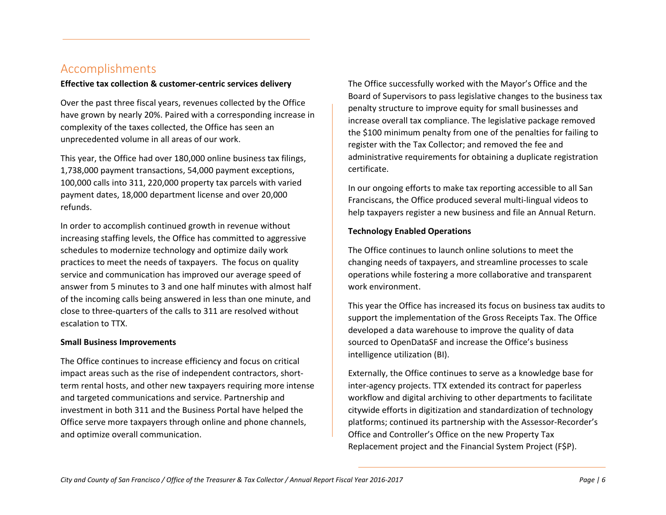# Accomplishments

#### **Effective tax collection & customer-centric services delivery**

Over the past three fiscal years, revenues collected by the Office have grown by nearly 20%. Paired with a corresponding increase in complexity of the taxes collected, the Office has seen an unprecedented volume in all areas of our work.

This year, the Office had over 180,000 online business tax filings, 1,738,000 payment transactions, 54,000 payment exceptions, 100,000 calls into 311, 220,000 property tax parcels with varied payment dates, 18,000 department license and over 20,000 refunds.

In order to accomplish continued growth in revenue without increasing staffing levels, the Office has committed to aggressive schedules to modernize technology and optimize daily work practices to meet the needs of taxpayers. The focus on quality service and communication has improved our average speed of answer from 5 minutes to 3 and one half minutes with almost half of the incoming calls being answered in less than one minute, and close to three-quarters of the calls to 311 are resolved without escalation to TTX.

#### **Small Business Improvements**

The Office continues to increase efficiency and focus on critical impact areas such as the rise of independent contractors, shortterm rental hosts, and other new taxpayers requiring more intense and targeted communications and service. Partnership and investment in both 311 and the Business Portal have helped the Office serve more taxpayers through online and phone channels, and optimize overall communication.

The Office successfully worked with the Mayor's Office and the Board of Supervisors to pass legislative changes to the business tax penalty structure to improve equity for small businesses and increase overall tax compliance. The legislative package removed the \$100 minimum penalty from one of the penalties for failing to register with the Tax Collector; and removed the fee and administrative requirements for obtaining a duplicate registration certificate.

In our ongoing efforts to make tax reporting accessible to all San Franciscans, the Office produced several multi-lingual videos to help taxpayers register a new business and file an Annual Return.

#### **Technology Enabled Operations**

The Office continues to launch online solutions to meet the changing needs of taxpayers, and streamline processes to scale operations while fostering a more collaborative and transparent work environment.

This year the Office has increased its focus on business tax audits to support the implementation of the Gross Receipts Tax. The Office developed a data warehouse to improve the quality of data sourced to OpenDataSF and increase the Office's business intelligence utilization (BI).

Externally, the Office continues to serve as a knowledge base for inter-agency projects. TTX extended its contract for paperless workflow and digital archiving to other departments to facilitate citywide efforts in digitization and standardization of technology platforms; continued its partnership with the Assessor-Recorder's Office and Controller's Office on the new Property Tax Replacement project and the Financial System Project (F\$P).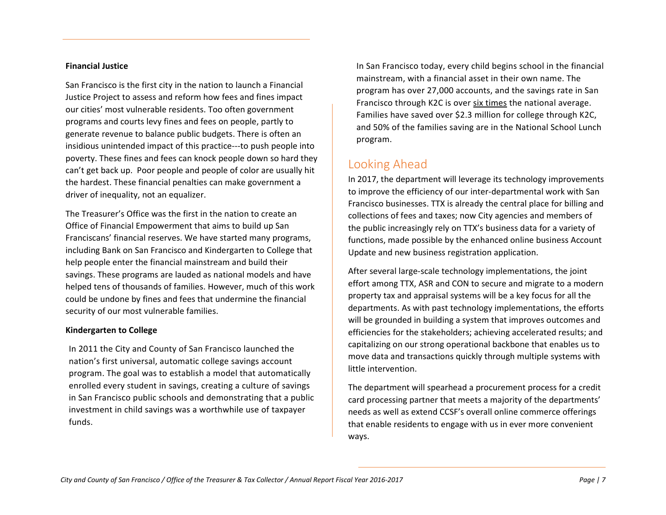#### **Financial Justice**

San Francisco is the first city in the nation to launch a Financial Justice Project to assess and reform how fees and fines impact our cities' most vulnerable residents. Too often government programs and courts levy fines and fees on people, partly to generate revenue to balance public budgets. There is often an insidious unintended impact of this practice---to push people into poverty. These fines and fees can knock people down so hard they can't get back up. Poor people and people of color are usually hit the hardest. These financial penalties can make government a driver of inequality, not an equalizer.

The Treasurer's Office was the first in the nation to create an Office of Financial Empowerment that aims to build up San Franciscans' financial reserves. We have started many programs, including Bank on San Francisco and Kindergarten to College that help people enter the financial mainstream and build their savings. These programs are lauded as national models and have helped tens of thousands of families. However, much of this work could be undone by fines and fees that undermine the financial security of our most vulnerable families.

#### **Kindergarten to College**

In 2011 the City and County of San Francisco launched the nation's first universal, automatic college savings account program. The goal was to establish a model that automatically enrolled every student in savings, creating a culture of savings in San Francisco public schools and demonstrating that a public investment in child savings was a worthwhile use of taxpayer funds.

In San Francisco today, every child begins school in the financial mainstream, with a financial asset in their own name. The program has over 27,000 accounts, and the savings rate in San Francisco through K2C is over six times the national average. Families have saved over \$2.3 million for college through K2C, and 50% of the families saving are in the National School Lunch program.

# Looking Ahead

 In 2017, the department will leverage its technology improvements to improve the efficiency of our inter-departmental work with San Francisco businesses. TTX is already the central place for billing and collections of fees and taxes; now City agencies and members of the public increasingly rely on TTX's business data for a variety of functions, made possible by the enhanced online business Account Update and new business registration application.

After several large-scale technology implementations, the joint effort among TTX, ASR and CON to secure and migrate to a modern property tax and appraisal systems will be a key focus for all the departments. As with past technology implementations, the efforts will be grounded in building a system that improves outcomes and efficiencies for the stakeholders; achieving accelerated results; and capitalizing on our strong operational backbone that enables us to move data and transactions quickly through multiple systems with little intervention.

The department will spearhead a procurement process for a credit card processing partner that meets a majority of the departments' needs as well as extend CCSF's overall online commerce offerings that enable residents to engage with us in ever more convenient ways.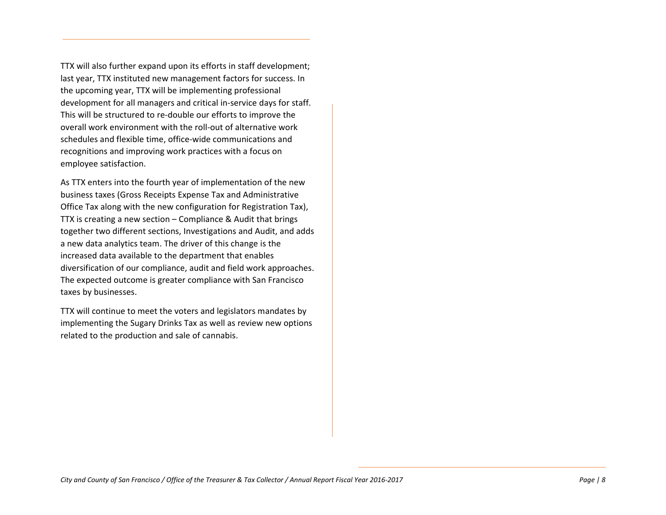TTX will also further expand upon its efforts in staff development; last year, TTX instituted new management factors for success. In the upcoming year, TTX will be implementing professional development for all managers and critical in-service days for staff. This will be structured to re-double our efforts to improve the overall work environment with the roll-out of alternative work schedules and flexible time, office-wide communications and recognitions and improving work practices with a focus on employee satisfaction.

As TTX enters into the fourth year of implementation of the new business taxes (Gross Receipts Expense Tax and Administrative Office Tax along with the new configuration for Registration Tax), TTX is creating a new section – Compliance & Audit that brings together two different sections, Investigations and Audit, and adds a new data analytics team. The driver of this change is the increased data available to the department that enables diversification of our compliance, audit and field work approaches. The expected outcome is greater compliance with San Francisco taxes by businesses.

TTX will continue to meet the voters and legislators mandates by implementing the Sugary Drinks Tax as well as review new options related to the production and sale of cannabis.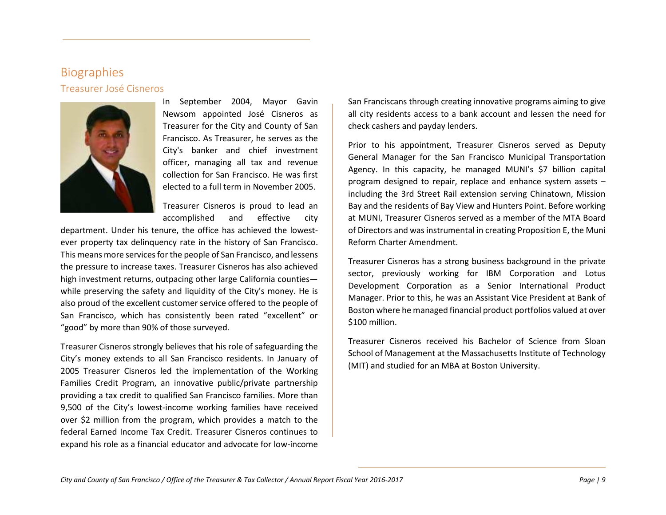## Biographies Treasurer José Cisneros



In September 2004, Mayor Gavin Newsom appointed José Cisneros as Treasurer for the City and County of San Francisco. As Treasurer, he serves as the City's banker and chief investment officer, managing all tax and revenue collection for San Francisco. He was first elected to a full term in November 2005.

Treasurer Cisneros is proud to lead an accomplished and effective city

department. Under his tenure, the office has achieved the lowestever property tax delinquency rate in the history of San Francisco. This means more services for the people of San Francisco, and lessens the pressure to increase taxes. Treasurer Cisneros has also achieved high investment returns, outpacing other large California counties while preserving the safety and liquidity of the City's money. He is also proud of the excellent customer service offered to the people of San Francisco, which has consistently been rated "excellent" or "good" by more than 90% of those surveyed.

Treasurer Cisneros strongly believes that his role of safeguarding the City's money extends to all San Francisco residents. In January of 2005 Treasurer Cisneros led the implementation of the Working Families Credit Program, an innovative public/private partnership providing a tax credit to qualified San Francisco families. More than 9,500 of the City's lowest-income working families have received over \$2 million from the program, which provides a match to the federal Earned Income Tax Credit. Treasurer Cisneros continues to expand his role as a financial educator and advocate for low-income

San Franciscans through creating innovative programs aiming to give all city residents access to a bank account and lessen the need for check cashers and payday lenders.

Prior to his appointment, Treasurer Cisneros served as Deputy General Manager for the San Francisco Municipal Transportation Agency. In this capacity, he managed MUNI's \$7 billion capital program designed to repair, replace and enhance system assets – including the 3rd Street Rail extension serving Chinatown, Mission Bay and the residents of Bay View and Hunters Point. Before working at MUNI, Treasurer Cisneros served as a member of the MTA Board of Directors and was instrumental in creating Proposition E, the Muni Reform Charter Amendment.

Treasurer Cisneros has a strong business background in the private sector, previously working for IBM Corporation and Lotus Development Corporation as a Senior International Product Manager. Prior to this, he was an Assistant Vice President at Bank of Boston where he managed financial product portfolios valued at over \$100 million.

Treasurer Cisneros received his Bachelor of Science from Sloan School of Management at the Massachusetts Institute of Technology (MIT) and studied for an MBA at Boston University.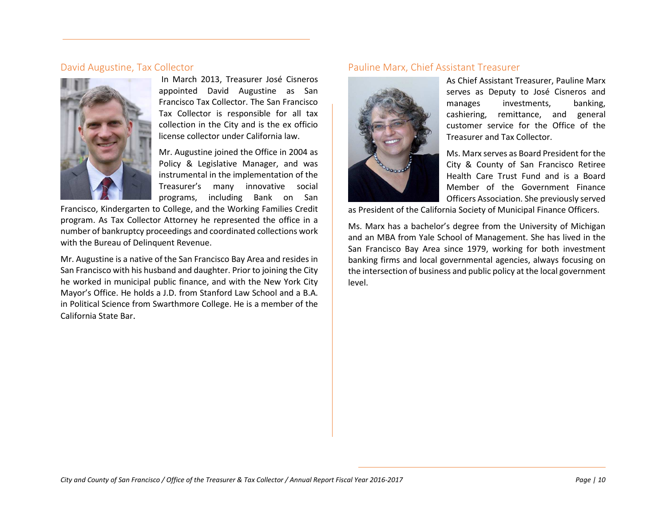## David Augustine, Tax Collector



In March 2013, Treasurer José Cisneros appointed David Augustine as San Francisco Tax Collector. The San Francisco Tax Collector is responsible for all tax collection in the City and is the ex officio license collector under California law.

Mr. Augustine joined the Office in 2004 as Policy & Legislative Manager, and was instrumental in the implementation of the Treasurer's many innovative social programs, including Bank on San

Francisco, Kindergarten to College, and the Working Families Credit program. As Tax Collector Attorney he represented the office in a number of bankruptcy proceedings and coordinated collections work with the Bureau of Delinquent Revenue.

Mr. Augustine is a native of the San Francisco Bay Area and resides in San Francisco with his husband and daughter. Prior to joining the City he worked in municipal public finance, and with the New York City Mayor's Office. He holds a J.D. from Stanford Law School and a B.A. in Political Science from Swarthmore College. He is a member of the California State Bar.

## Pauline Marx, Chief Assistant Treasurer



As Chief Assistant Treasurer, Pauline Marx serves as Deputy to José Cisneros and manages investments, banking, cashiering, remittance, and general customer service for the Office of the Treasurer and Tax Collector.

Ms. Marx serves as Board President for the City & County of San Francisco Retiree Health Care Trust Fund and is a Board Member of the Government Finance Officers Association. She previously served

as President of the California Society of Municipal Finance Officers.

Ms. Marx has a bachelor's degree from the University of Michigan and an MBA from Yale School of Management. She has lived in the San Francisco Bay Area since 1979, working for both investment banking firms and local governmental agencies, always focusing on the intersection of business and public policy at the local government level.